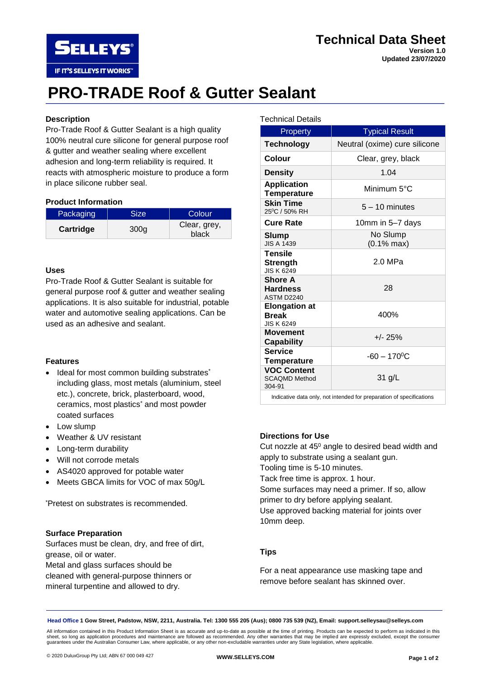## **Technical Data Sheet Version 1.0**

**Updated 23/07/2020**

# **PRO-TRADE Roof & Gutter Sealant**

#### **Description**

**SELLEYS** 

IF IT'S SELLEYS IT WORKS"

Pro-Trade Roof & Gutter Sealant is a high quality 100% neutral cure silicone for general purpose roof & gutter and weather sealing where excellent adhesion and long-term reliability is required. It reacts with atmospheric moisture to produce a form in place silicone rubber seal.

#### **Product Information**

| Packaging | <b>Size</b>      | Colour                |
|-----------|------------------|-----------------------|
| Cartridge | 300 <sub>q</sub> | Clear, grey,<br>black |

#### **Uses**

Pro-Trade Roof & Gutter Sealant is suitable for general purpose roof & gutter and weather sealing applications. It is also suitable for industrial, potable water and automotive sealing applications. Can be used as an adhesive and sealant.

#### **Features**

- Ideal for most common building substrates\* including glass, most metals (aluminium, steel etc.), concrete, brick, plasterboard, wood, ceramics, most plastics\* and most powder coated surfaces
- Low slump
- Weather & UV resistant
- Long-term durability
- Will not corrode metals
- AS4020 approved for potable water
- Meets GBCA limits for VOC of max 50g/L

\*Pretest on substrates is recommended.

#### **Surface Preparation**

Surfaces must be clean, dry, and free of dirt, grease, oil or water. Metal and glass surfaces should be cleaned with general-purpose thinners or mineral turpentine and allowed to dry.

#### Technical Details

| Property                                                             | <b>Typical Result</b>             |  |
|----------------------------------------------------------------------|-----------------------------------|--|
| <b>Technology</b>                                                    | Neutral (oxime) cure silicone     |  |
| <b>Colour</b>                                                        | Clear, grey, black                |  |
| <b>Density</b>                                                       | 1.04                              |  |
| <b>Application</b><br><b>Temperature</b>                             | Minimum 5°C                       |  |
| <b>Skin Time</b><br>25°C / 50% RH                                    | $5 - 10$ minutes                  |  |
| <b>Cure Rate</b>                                                     | 10mm in 5-7 days                  |  |
| Slump<br><b>JIS A 1439</b>                                           | No Slump<br>$(0.1\% \text{ max})$ |  |
| <b>Tensile</b><br><b>Strength</b><br><b>JIS K 6249</b>               | $2.0$ MPa                         |  |
| <b>Shore A</b><br><b>Hardness</b><br>ASTM D2240                      | 28                                |  |
| <b>Elongation at</b><br><b>Break</b><br><b>JIS K 6249</b>            | 400%                              |  |
| <b>Movement</b><br>Capability                                        | $+/- 25%$                         |  |
| <b>Service</b><br><b>Temperature</b>                                 | $-60 - 170$ <sup>o</sup> C        |  |
| <b>VOC Content</b><br><b>SCAQMD Method</b><br>304-91                 | 31 g/L                            |  |
| Indicative data only, not intended for preparation of specifications |                                   |  |

**Directions for Use** Cut nozzle at 45<sup>0</sup> angle to desired bead width and apply to substrate using a sealant gun. Tooling time is 5-10 minutes. Tack free time is approx. 1 hour. Some surfaces may need a primer. If so, allow primer to dry before applying sealant. Use approved backing material for joints over 10mm deep.

#### **Tips**

For a neat appearance use masking tape and remove before sealant has skinned over.

**Head Office 1 Gow Street, Padstow, NSW, 2211, Australia. Tel: 1300 555 205 (Aus); 0800 735 539 (NZ), Email: support.selleysau@selleys.com**

All information contained in this Product Information Sheet is as accurate and up-to-date as possible at the time of printing. Products can be expected to perform as indicated in this<br>sheet, so long as application procedur guarantees under the Australian Consumer Law, where applicable, or any other non-excludable warranties under any State legislation, where applicable.